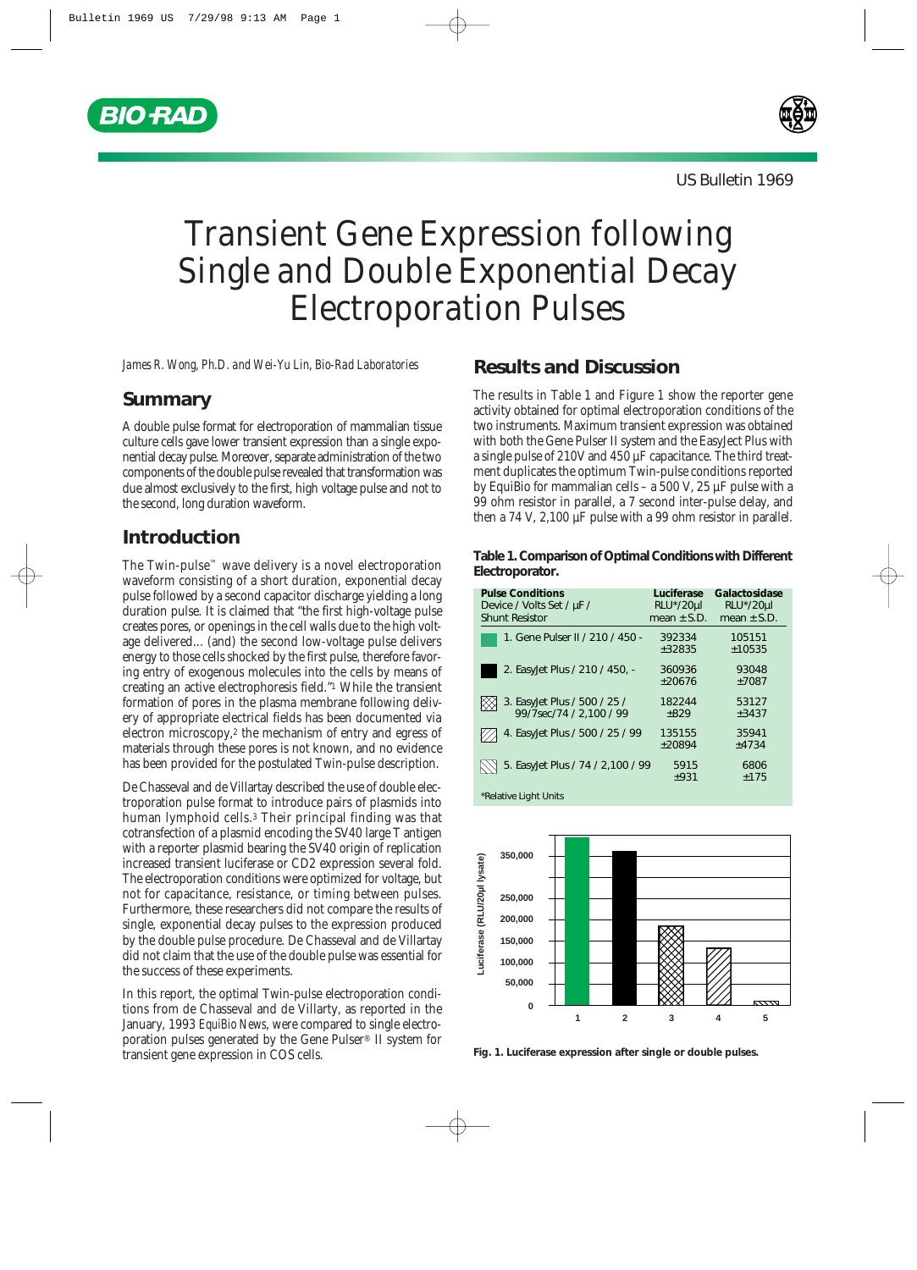



# Transient Gene Expression following Single and Double Exponential Decay Electroporation Pulses

*James R. Wong, Ph.D. and Wei-Yu Lin, Bio-Rad Laboratories*

## **Summary**

A double pulse format for electroporation of mammalian tissue culture cells gave lower transient expression than a single exponential decay pulse. Moreover, separate administration of the two components of the double pulse revealed that transformation was due almost exclusively to the first, high voltage pulse and not to the second, long duration waveform.

## **Introduction**

The Twin-pulse™ wave delivery is a novel electroporation waveform consisting of a short duration, exponential decay pulse followed by a second capacitor discharge yielding a long duration pulse. It is claimed that "the first high-voltage pulse creates pores, or openings in the cell walls due to the high voltage delivered... (and) the second low-voltage pulse delivers energy to those cells shocked by the first pulse, therefore favoring entry of exogenous molecules into the cells by means of creating an active electrophoresis field."1 While the transient formation of pores in the plasma membrane following delivery of appropriate electrical fields has been documented via electron microscopy,<sup>2</sup> the mechanism of entry and egress of materials through these pores is not known, and no evidence has been provided for the postulated Twin-pulse description.

De Chasseval and de Villartay described the use of double electroporation pulse format to introduce pairs of plasmids into human lymphoid cells.3 Their principal finding was that cotransfection of a plasmid encoding the SV40 large T antigen with a reporter plasmid bearing the SV40 origin of replication increased transient luciferase or CD2 expression several fold. The electroporation conditions were optimized for voltage, but not for capacitance, resistance, or timing between pulses. Furthermore, these researchers did not compare the results of single, exponential decay pulses to the expression produced by the double pulse procedure. De Chasseval and de Villartay did not claim that the use of the double pulse was essential for the success of these experiments.

In this report, the optimal Twin-pulse electroporation conditions from de Chasseval and de Villarty, as reported in the January, 1993 *EquiBio News*, were compared to single electroporation pulses generated by the Gene Pulser® II system for transient gene expression in COS cells.

# **Results and Discussion**

The results in Table 1 and Figure 1 show the reporter gene activity obtained for optimal electroporation conditions of the two instruments. Maximum transient expression was obtained with both the Gene Pulser II system and the EasyJect Plus with a single pulse of 210V and 450 µF capacitance. The third treatment duplicates the optimum Twin-pulse conditions reported by EquiBio for mammalian cells – a 500 V, 25 µF pulse with a 99 ohm resistor in parallel, a 7 second inter-pulse delay, and then a 74 V, 2,100 µF pulse with a 99 ohm resistor in parallel.

#### **Table 1. Comparison of Optimal Conditions with Different Electroporator.**

| <b>Pulse Conditions</b><br>Device / Volts Set / µF /<br><b>Shunt Resistor</b> | Luciferase<br>RLU*/20µl<br>mean $\pm$ S.D. | Galactosidase<br>RLU*/20µl<br>mean $\pm$ S.D. |
|-------------------------------------------------------------------------------|--------------------------------------------|-----------------------------------------------|
|                                                                               |                                            |                                               |
| 1. Gene Pulser II / 210 / 450 -                                               | 392334                                     | 105151                                        |
|                                                                               | $+32835$                                   | ±10535                                        |
| 2. Easylet Plus / 210 / 450, -                                                | 360936                                     | 93048                                         |
|                                                                               | $+20676$                                   | ±7087                                         |
|                                                                               | 182244                                     | 53127                                         |
| 3. Easylet Plus / 500 / 25 /<br>99/7sec/74 / 2,100 / 99                       | $+829$                                     | ±3437                                         |
| 4. Easylet Plus / 500 / 25 / 99                                               | 135155                                     | 35941                                         |
|                                                                               | $+20894$                                   | ±4734                                         |
| 5. Easylet Plus / 74 / 2,100 / 99                                             | 5915                                       | 6806                                          |
|                                                                               | ±931                                       | ±175                                          |

\*Relative Light Units



**Fig. 1. Luciferase expression after single or double pulses.**